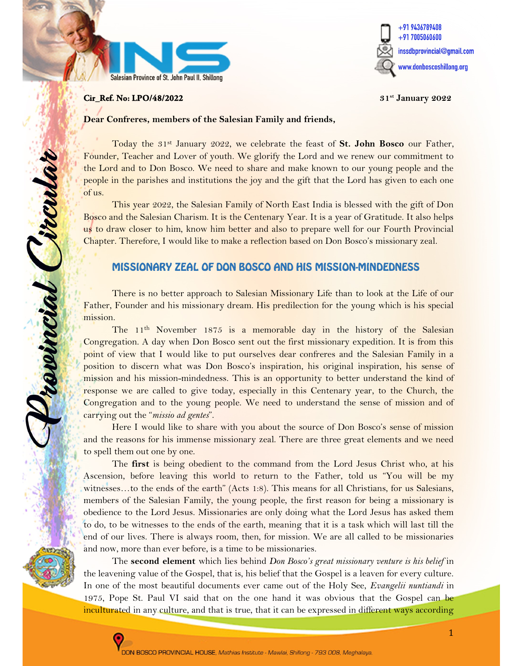



#### **Cir\_Ref. No: LPO/48/2022** 31st January 2022

j

Provincial Circula

#### Dear Confreres, members of the Salesian Family and friends,

Today the  $31<sup>st</sup>$  January 2022, we celebrate the feast of **St. John Bosco** our Father, Founder, Teacher and Lover of youth. We glorify the Lord and we renew our commitment to the Lord and to Don Bosco. We need to share and make known to our young people and the people in the parishes and institutions the joy and the gift that the Lord has given to each one of us.

This year 2022, the Salesian Family of North East India is blessed with the gift of Don Bosco and the Salesian Charism. It is the Centenary Year. It is a year of Gratitude. It also helps us to draw closer to him, know him better and also to prepare well for our Fourth Provincial Chapter. Therefore, I would like to make a reflection based on Don Bosco's missionary zeal.

#### MISSIONARY ZEAL OF DON BOSCO AND HIS MISSION-MINDEDNESS

There is no better approach to Salesian Missionary Life than to look at the Life of our Father, Founder and his missionary dream. His predilection for the young which is his special mission.

The 11th November 1875 is a memorable day in the history of the Salesian Congregation. A day when Don Bosco sent out the first missionary expedition. It is from this point of view that I would like to put ourselves dear confreres and the Salesian Family in a position to discern what was Don Bosco's inspiration, his original inspiration, his sense of mission and his mission-mindedness. This is an opportunity to better understand the kind of response we are called to give today, especially in this Centenary year, to the Church, the Congregation and to the young people. We need to understand the sense of mission and of carrying out the "*missio ad gentes*".

Here I would like to share with you about the source of Don Bosco's sense of mission and the reasons for his immense missionary zeal. There are three great elements and we need to spell them out one by one.

The first is being obedient to the command from the Lord Jesus Christ who, at his Ascension, before leaving this world to return to the Father, told us "You will be my witnesses…to the ends of the earth" (Acts 1:8). This means for all Christians, for us Salesians, members of the Salesian Family, the young people, the first reason for being a missionary is obedience to the Lord Jesus. Missionaries are only doing what the Lord Jesus has asked them to do, to be witnesses to the ends of the earth, meaning that it is a task which will last till the end of our lives. There is always room, then, for mission. We are all called to be missionaries and now, more than ever before, is a time to be missionaries.

The second element which lies behind Don Bosco's great missionary venture is his belief in the leavening value of the Gospel, that is, his belief that the Gospel is a leaven for every culture. In one of the most beautiful documents ever came out of the Holy See, Evangelii nuntiandi in 1975, Pope St. Paul VI said that on the one hand it was obvious that the Gospel can be inculturated in any culture, and that is true, that it can be expressed in different ways according

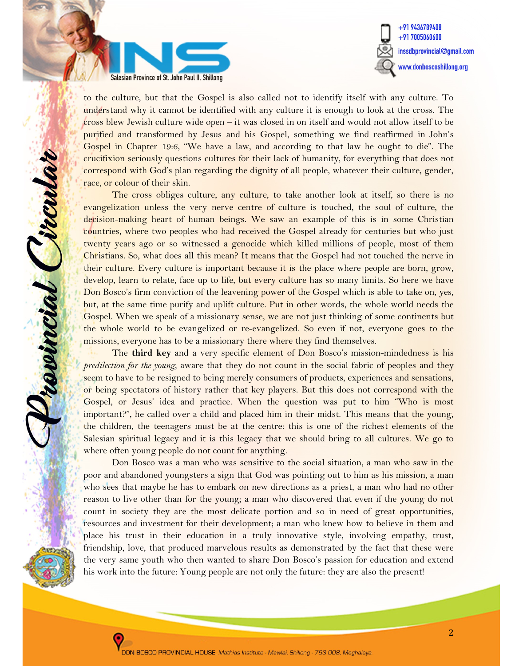



to the culture, but that the Gospel is also called not to identify itself with any culture. To understand why it cannot be identified with any culture it is enough to look at the cross. The cross blew Jewish culture wide open – it was closed in on itself and would not allow itself to be purified and transformed by Jesus and his Gospel, something we find reaffirmed in John's Gospel in Chapter 19:6, "We have a law, and according to that law he ought to die". The crucifixion seriously questions cultures for their lack of humanity, for everything that does not correspond with God's plan regarding the dignity of all people, whatever their culture, gender, race, or colour of their skin.

The cross obliges culture, any culture, to take another look at itself, so there is no evangelization unless the very nerve centre of culture is touched, the soul of culture, the decision-making heart of human beings. We saw an example of this is in some Christian countries, where two peoples who had received the Gospel already for centuries but who just twenty years ago or so witnessed a genocide which killed millions of people, most of them Christians. So, what does all this mean? It means that the Gospel had not touched the nerve in their culture. Every culture is important because it is the place where people are born, grow, develop, learn to relate, face up to life, but every culture has so many limits. So here we have Don Bosco's firm conviction of the leavening power of the Gospel which is able to take on, yes, but, at the same time purify and uplift culture. Put in other words, the whole world needs the Gospel. When we speak of a missionary sense, we are not just thinking of some continents but the whole world to be evangelized or re-evangelized. So even if not, everyone goes to the missions, everyone has to be a missionary there where they find themselves.

The third key and a very specific element of Don Bosco's mission-mindedness is his predilection for the young, aware that they do not count in the social fabric of peoples and they seem to have to be resigned to being merely consumers of products, experiences and sensations, or being spectators of history rather that key players. But this does not correspond with the Gospel, or Jesus' idea and practice. When the question was put to him "Who is most important?", he called over a child and placed him in their midst. This means that the young, the children, the teenagers must be at the centre: this is one of the richest elements of the Salesian spiritual legacy and it is this legacy that we should bring to all cultures. We go to where often young people do not count for anything.

Don Bosco was a man who was sensitive to the social situation, a man who saw in the poor and abandoned youngsters a sign that God was pointing out to him as his mission, a man who sees that maybe he has to embark on new directions as a priest, a man who had no other reason to live other than for the young; a man who discovered that even if the young do not count in society they are the most delicate portion and so in need of great opportunities, resources and investment for their development; a man who knew how to believe in them and place his trust in their education in a truly innovative style, involving empathy, trust, friendship, love, that produced marvelous results as demonstrated by the fact that these were the very same youth who then wanted to share Don Bosco's passion for education and extend his work into the future: Young people are not only the future: they are also the present!



L

revincial Pircula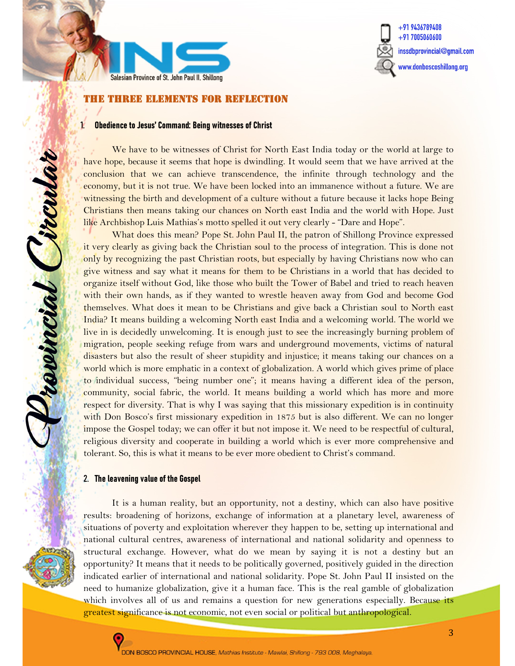



#### THE THREE ELEMENTS for reflection

#### 1. Obedience to Jesus' Command: Being witnesses of Christ

We have to be witnesses of Christ for North East India today or the world at large to have hope, because it seems that hope is dwindling. It would seem that we have arrived at the conclusion that we can achieve transcendence, the infinite through technology and the economy, but it is not true. We have been locked into an immanence without a future. We are witnessing the birth and development of a culture without a future because it lacks hope Being Christians then means taking our chances on North east India and the world with Hope. Just like Archbishop Luis Mathias's motto spelled it out very clearly - "Dare and Hope".

What does this mean? Pope St. John Paul II, the patron of Shillong Province expressed it very clearly as giving back the Christian soul to the process of integration. This is done not only by recognizing the past Christian roots, but especially by having Christians now who can give witness and say what it means for them to be Christians in a world that has decided to organize itself without God, like those who built the Tower of Babel and tried to reach heaven with their own hands, as if they wanted to wrestle heaven away from God and become God themselves. What does it mean to be Christians and give back a Christian soul to North east India? It means building a welcoming North east India and a welcoming world. The world we live in is decidedly unwelcoming. It is enough just to see the increasingly burning problem of migration, people seeking refuge from wars and underground movements, victims of natural disasters but also the result of sheer stupidity and injustice; it means taking our chances on a world which is more emphatic in a context of globalization. A world which gives prime of place to individual success, "being number one"; it means having a different idea of the person, community, social fabric, the world. It means building a world which has more and more respect for diversity. That is why I was saying that this missionary expedition is in continuity with Don Bosco's first missionary expedition in 1875 but is also different. We can no longer impose the Gospel today; we can offer it but not impose it. We need to be respectful of cultural, religious diversity and cooperate in building a world which is ever more comprehensive and tolerant. So, this is what it means to be ever more obedient to Christ's command.

#### 2. The leavening value of the Gospel

receincial Circular

It is a human reality, but an opportunity, not a destiny, which can also have positive results: broadening of horizons, exchange of information at a planetary level, awareness of situations of poverty and exploitation wherever they happen to be, setting up international and national cultural centres, awareness of international and national solidarity and openness to structural exchange. However, what do we mean by saying it is not a destiny but an opportunity? It means that it needs to be politically governed, positively guided in the direction indicated earlier of international and national solidarity. Pope St. John Paul II insisted on the need to humanize globalization, give it a human face. This is the real gamble of globalization which involves all of us and remains a question for new generations especially. Because its greatest significance is not economic, not even social or political but anthropological.

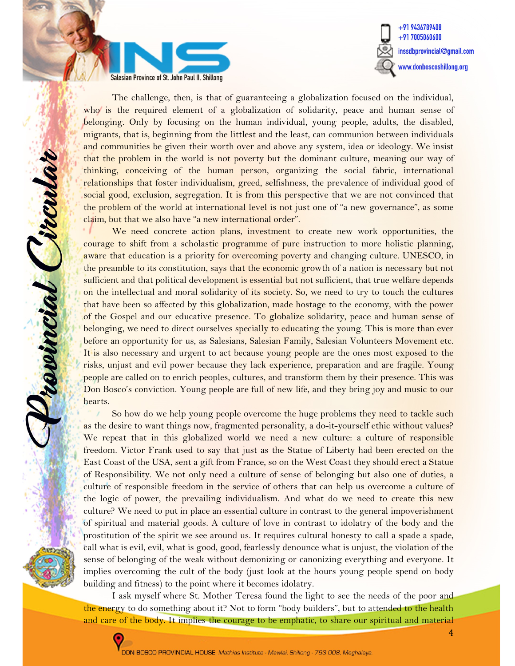



The challenge, then, is that of guaranteeing a globalization focused on the individual, who is the required element of a globalization of solidarity, peace and human sense of belonging. Only by focusing on the human individual, young people, adults, the disabled, migrants, that is, beginning from the littlest and the least, can communion between individuals and communities be given their worth over and above any system, idea or ideology. We insist that the problem in the world is not poverty but the dominant culture, meaning our way of thinking, conceiving of the human person, organizing the social fabric, international relationships that foster individualism, greed, selfishness, the prevalence of individual good of social good, exclusion, segregation. It is from this perspective that we are not convinced that the problem of the world at international level is not just one of "a new governance", as some claim, but that we also have "a new international order".

We need concrete action plans, investment to create new work opportunities, the courage to shift from a scholastic programme of pure instruction to more holistic planning, aware that education is a priority for overcoming poverty and changing culture. UNESCO, in the preamble to its constitution, says that the economic growth of a nation is necessary but not sufficient and that political development is essential but not sufficient, that true welfare depends on the intellectual and moral solidarity of its society. So, we need to try to touch the cultures that have been so affected by this globalization, made hostage to the economy, with the power of the Gospel and our educative presence. To globalize solidarity, peace and human sense of belonging, we need to direct ourselves specially to educating the young. This is more than ever before an opportunity for us, as Salesians, Salesian Family, Salesian Volunteers Movement etc. It is also necessary and urgent to act because young people are the ones most exposed to the risks, unjust and evil power because they lack experience, preparation and are fragile. Young people are called on to enrich peoples, cultures, and transform them by their presence. This was Don Bosco's conviction. Young people are full of new life, and they bring joy and music to our hearts.

So how do we help young people overcome the huge problems they need to tackle such as the desire to want things now, fragmented personality, a do-it-yourself ethic without values? We repeat that in this globalized world we need a new culture: a culture of responsible freedom. Victor Frank used to say that just as the Statue of Liberty had been erected on the East Coast of the USA, sent a gift from France, so on the West Coast they should erect a Statue of Responsibility. We not only need a culture of sense of belonging but also one of duties, a culture of responsible freedom in the service of others that can help us overcome a culture of the logic of power, the prevailing individualism. And what do we need to create this new culture? We need to put in place an essential culture in contrast to the general impoverishment of spiritual and material goods. A culture of love in contrast to idolatry of the body and the prostitution of the spirit we see around us. It requires cultural honesty to call a spade a spade, call what is evil, evil, what is good, good, fearlessly denounce what is unjust, the violation of the sense of belonging of the weak without demonizing or canonizing everything and everyone. It implies overcoming the cult of the body (just look at the hours young people spend on body building and fitness) to the point where it becomes idolatry.

I ask myself where St. Mother Teresa found the light to see the needs of the poor and the energy to do something about it? Not to form "body builders", but to attended to the health and care of the body. It implies the courage to be emphatic, to share our spiritual and material



reservoir Crocelor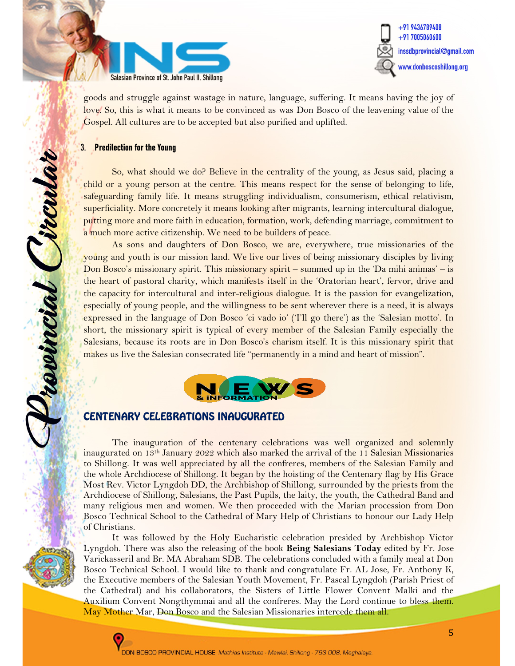



goods and struggle against wastage in nature, language, suffering. It means having the joy of love. So, this is what it means to be convinced as was Don Bosco of the leavening value of the Gospel. All cultures are to be accepted but also purified and uplifted.

#### 3. Predilection for the Young

revincial Circular

So, what should we do? Believe in the centrality of the young, as Jesus said, placing a child or a young person at the centre. This means respect for the sense of belonging to life, safeguarding family life. It means struggling individualism, consumerism, ethical relativism, superficiality. More concretely it means looking after migrants, learning intercultural dialogue, putting more and more faith in education, formation, work, defending marriage, commitment to a much more active citizenship. We need to be builders of peace.

As sons and daughters of Don Bosco, we are, everywhere, true missionaries of the young and youth is our mission land. We live our lives of being missionary disciples by living Don Bosco's missionary spirit. This missionary spirit – summed up in the 'Da mihi animas' – is the heart of pastoral charity, which manifests itself in the 'Oratorian heart', fervor, drive and the capacity for intercultural and inter-religious dialogue. It is the passion for evangelization, especially of young people, and the willingness to be sent wherever there is a need, it is always expressed in the language of Don Bosco 'ci vado io' ('I'll go there') as the 'Salesian motto'. In short, the missionary spirit is typical of every member of the Salesian Family especially the Salesians, because its roots are in Don Bosco's charism itself. It is this missionary spirit that makes us live the Salesian consecrated life "permanently in a mind and heart of mission".



### CENTENARY CELEBRATIONS INAUGURATED

The inauguration of the centenary celebrations was well organized and solemnly inaugurated on 13<sup>th</sup> January 2022 which also marked the arrival of the 11 Salesian Missionaries to Shillong. It was well appreciated by all the confreres, members of the Salesian Family and the whole Archdiocese of Shillong. It began by the hoisting of the Centenary flag by His Grace Most Rev. Victor Lyngdoh DD, the Archbishop of Shillong, surrounded by the priests from the Archdiocese of Shillong, Salesians, the Past Pupils, the laity, the youth, the Cathedral Band and many religious men and women. We then proceeded with the Marian procession from Don Bosco Technical School to the Cathedral of Mary Help of Christians to honour our Lady Help of Christians.

It was followed by the Holy Eucharistic celebration presided by Archbishop Victor Lyngdoh. There was also the releasing of the book Being Salesians Today edited by Fr. Jose Varickasseril and Br. MA Abraham SDB. The celebrations concluded with a family meal at Don Bosco Technical School. I would like to thank and congratulate Fr. AL Jose, Fr. Anthony K, the Executive members of the Salesian Youth Movement, Fr. Pascal Lyngdoh (Parish Priest of the Cathedral) and his collaborators, the Sisters of Little Flower Convent Malki and the Auxilium Convent Nongthymmai and all the confreres. May the Lord continue to bless them. May Mother Mar, Don Bosco and the Salesian Missionaries intercede them all.

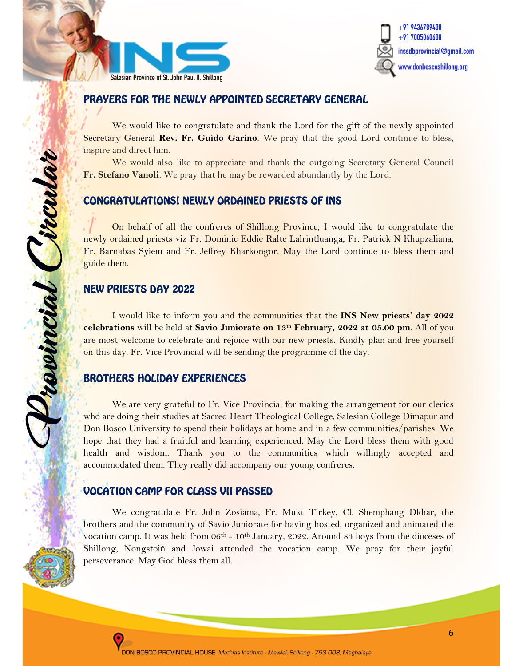



## PRAYERS FOR THE NEWLY APPOINTED SECRETARY GENERAL

We would like to congratulate and thank the Lord for the gift of the newly appointed Secretary General Rev. Fr. Guido Garino. We pray that the good Lord continue to bless, inspire and direct him.

We would also like to appreciate and thank the outgoing Secretary General Council Fr. Stefano Vanoli. We pray that he may be rewarded abundantly by the Lord.

## CONGRATULATIONS! NEWLY ORDAINED PRIESTS OF INS

On behalf of all the confreres of Shillong Province, I would like to congratulate the newly ordained priests viz Fr. Dominic Eddie Ralte Lalrintluanga, Fr. Patrick N Khupzaliana, Fr. Barnabas Syiem and Fr. Jeffrey Kharkongor. May the Lord continue to bless them and guide them.

## NEW PRIESTS DAY 2022

ÿ

Browncial Circula

I would like to inform you and the communities that the INS New priests' day 2022 celebrations will be held at Savio Juniorate on  $13<sup>th</sup>$  February, 2022 at 05.00 pm. All of you are most welcome to celebrate and rejoice with our new priests. Kindly plan and free yourself on this day. Fr. Vice Provincial will be sending the programme of the day.

## BROTHERS HOLIDAY EXPERIENCES

We are very grateful to Fr. Vice Provincial for making the arrangement for our clerics who are doing their studies at Sacred Heart Theological College, Salesian College Dimapur and Don Bosco University to spend their holidays at home and in a few communities/parishes. We hope that they had a fruitful and learning experienced. May the Lord bless them with good health and wisdom. Thank you to the communities which willingly accepted and accommodated them. They really did accompany our young confreres.

# VOCATION CAMP FOR CLASS VII PASSED

We congratulate Fr. John Zosiama, Fr. Mukt Tirkey, Cl. Shemphang Dkhar, the brothers and the community of Savio Juniorate for having hosted, organized and animated the vocation camp. It was held from 06<sup>th</sup> - 10<sup>th</sup> January, 2022. Around 84 boys from the dioceses of Shillong, Nongstoiñ and Jowai attended the vocation camp. We pray for their joyful perseverance. May God bless them all.



ī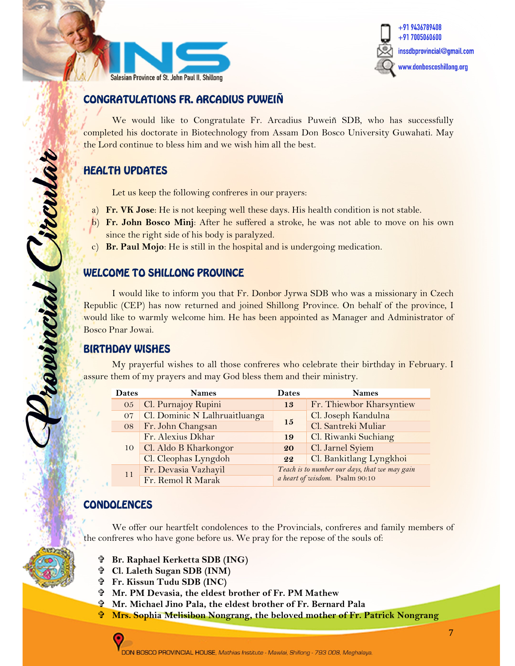



# CONGRATULATIONS FR. ARCADIUS PUWEIÑ

We would like to Congratulate Fr. Arcadius Puweiñ SDB, who has successfully completed his doctorate in Biotechnology from Assam Don Bosco University Guwahati. May the Lord continue to bless him and we wish him all the best.

# HEALTH UPDATES

Let us keep the following confreres in our prayers:

- a) Fr. VK Jose: He is not keeping well these days. His health condition is not stable.
- b) Fr. John Bosco Minj: After he suffered a stroke, he was not able to move on his own since the right side of his body is paralyzed.
- c) Br. Paul Mojo: He is still in the hospital and is undergoing medication.

### WELCOME TO SHILLONG PROVINCE

 I would like to inform you that Fr. Donbor Jyrwa SDB who was a missionary in Czech Republic (CEP) has now returned and joined Shillong Province. On behalf of the province, I would like to warmly welcome him. He has been appointed as Manager and Administrator of Bosco Pnar Jowai.

### BIRTHDAY WISHES

 My prayerful wishes to all those confreres who celebrate their birthday in February. I assure them of my prayers and may God bless them and their ministry.

| <b>Dates</b> | <b>Names</b>                  | <b>Dates</b>                                                                    | <b>Names</b>             |
|--------------|-------------------------------|---------------------------------------------------------------------------------|--------------------------|
| 05           | Cl. Purnajoy Rupini           | 13                                                                              | Fr. Thiewbor Kharsyntiew |
| 07           | Cl. Dominic N Lalhruaitluanga | 15                                                                              | Cl. Joseph Kandulna      |
|              | 08 Fr. John Changsan          |                                                                                 | Cl. Santreki Muliar      |
|              | Fr. Alexius Dkhar             | 19                                                                              | Cl. Riwanki Suchiang     |
|              | 10 Cl. Aldo B Kharkongor      | 20                                                                              | Cl. Jarnel Syiem         |
|              | Cl. Cleophas Lyngdoh          | 22                                                                              | Cl. Bankitlang Lyngkhoi  |
| 11           | Fr. Devasia Vazhayil          | Teach is to number our days, that we may gain<br>a heart of wisdom. Psalm 90:10 |                          |
|              | Fr. Remol R Marak             |                                                                                 |                          |

## CONDOLENCES

ļ

Provincial Circula

Ĩ

We offer our heartfelt condolences to the Provincials, confreres and family members of the confreres who have gone before us. We pray for the repose of the souls of:

- Br. Raphael Kerketta SDB (ING)
- Cl. Laleth Sugan SDB (INM)
- Fr. Kissun Tudu SDB (INC)
- Mr. PM Devasia, the eldest brother of Fr. PM Mathew
- Mr. Michael Jino Pala, the eldest brother of Fr. Bernard Pala
- Mrs. Sophia Melisibon Nongrang, the beloved mother of Fr. Patrick Nongrang